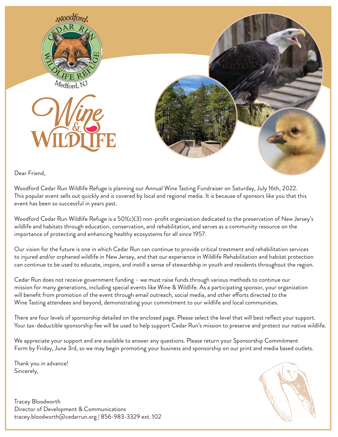

Dear Friend,

Woodford Cedar Run Wildlife Refuge is planning our Annual Wine Tasting Fundraiser on Saturday, July 16th, 2022. This popular event sells out quickly and is covered by local and regional media. It is because of sponsors like you that this event has been so successful in years past.

Woodford Cedar Run Wildlife Refuge is a 501(c)(3) non-profit organization dedicated to the preservation of New Jersey's wildlife and habitats through education, conservation, and rehabilitation, and serves as a community resource on the importance of protecting and enhancing healthy ecosystems for all since 1957.

Our vision for the future is one in which Cedar Run can continue to provide critical treatment and rehabilitation services to injured and/or orphaned wildlife in New Jersey, and that our experience in Wildlife Rehabilitation and habitat protection can continue to be used to educate, inspire, and instill a sense of stewardship in youth and residents throughout the region.

Cedar Run does not receive government funding – we must raise funds through various methods to continue our mission for many generations, including special events like Wine & Wildlife. As a participating sponsor, your organization will benefit from promotion of the event through email outreach, social media, and other efforts directed to the Wine Tasting attendees and beyond, demonstrating your commitment to our wildlife and local communities.

There are four levels of sponsorship detailed on the enclosed page. Please select the level that will best reflect your support. Your tax-deductible sponsorship fee will be used to help support Cedar Run's mission to preserve and protect our native wildlife.

We appreciate your support and are available to answer any questions. Please return your Sponsorship Commitment Form by Friday, June 3rd, so we may begin promoting your business and sponsorship on our print and media based outlets.

Thank you in advance! Sincerely,



Tracey Bloodworth Director of Development & Communications tracey.bloodworth@cedarrun.org | 856-983-3329 ext. 102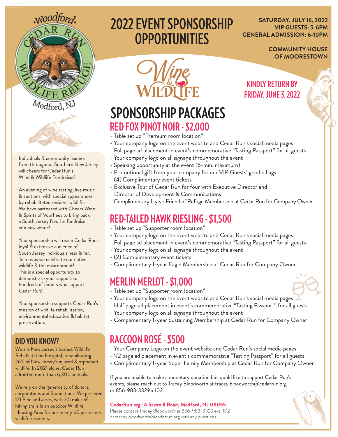

Individuals & community leaders from throughout Southern New Jersey

An evening of wine tasting, live music & auctions, with special appearances by rehabilitated resident wildlife. We have partnered with Cheers Wine & Spirits of Voorhees to bring back a South Jersey favorite fundraiser

Your sponsorship will reach Cedar Run's

Your sponsorship supports Cedar Run's mission of wildlife rehabilitation, environmental education & habitat

We are New Jersey's busiest Wildlife Rehabilitation Hospital, rehabilitating 26% of New Jersey's injured & orphaned wildlife. In 2021 alone, Cedar Run admitted more than 6,300 animals.

We rely on the generosity of donors, corporations and foundations. We preserve 171 Pineland acres, with 3.5 miles of hiking trails & an outdoor Wildlife

Housing Area for our nearly 60 permanent

loyal & extensive audience of South Jersey individuals near & far. Join us as we celebrate our native wildlife & the environment! This is a special opportunity to demonstrate your support to hundreds of donors who support

will cheers for Cedar Run's Wine & Wildlife Fundraiser!

at a new venue!

Cedar Run!

preservation.

**DID YOU KNOW?**

wildlife residents.

# **2022 EVENT SPONSORSHIP OPPORTUNITIES**

**SATURDAY, JULY 16, 2022 VIP GUESTS: 5-6PM GENERAL ADMISSION: 6-10PM** 

> **COMMUNITY HOUSE OF MOORESTOWN**

## **RED FOX PINOT NOIR - \$2,000 SPONSORSHIP PACKAGES**

- Table set up "Premium room location"
- Your company logo on the event website and Cedar Run's social media pages
- Full page ad placement in event's commemorative "Tasting Passport" for all guests
- Your company logo on all signage throughout the event
- Speaking opportunity at the event (5-min. maximum)
- Promotional gift from your company for our VIP Guests' goodie bags
- (4) Complimentary event tickets
- Exclusive Tour of Cedar Run for four with Executive Director and Director of Development & Communications
- Complimentary 1-year Friend of Refuge Membership at Cedar Run for Company Owner

#### **RED-TAILED HAWK RIESLING - \$1,500**

- Table set up "Supporter room location"
- Your company logo on the event website and Cedar Run's social media pages
- Full page ad placement in event's commemorative "Tasting Passport" for all guests
- Your company logo on all signage throughout the event
- (2) Complimentary event tickets
- Complimentary 1-year Eagle Membership at Cedar Run for Company Owner

### **MERLIN MERLOT - \$1,000**

- Table set up "Supporter room location"
- Your company logo on the event website and Cedar Run's social media pages
- Half page ad placement in event's commemorative "Tasting Passport" for all guests
- Your company logo on all signage throughout the event
- Complimentary 1-year Sustaining Membership at Cedar Run for Company Owner

## **RACCOON ROSÉ - \$500**

- Your Company Logo on the event website and Cedar Run's social media pages
- 1/2 page ad placement in event's commemorative "Tasting Passport" for all guests
- Complimentary 1-year Super Family Membership at Cedar Run for Company Owner

If you are unable to make a monetary donation but would like to support Cedar Run's events, please reach out to Tracey Bloodworth at tracey.bloodworth@cedarrun.org or 856-983-3329 x 102.

#### **CedarRun.org | 4 Sawmill Road, Medford, NJ 08055**

Please contact Tracey Bloodworth at 856-983-3329 ext. 102 or tracey.bloodworth@cedarrun.org with any questions.